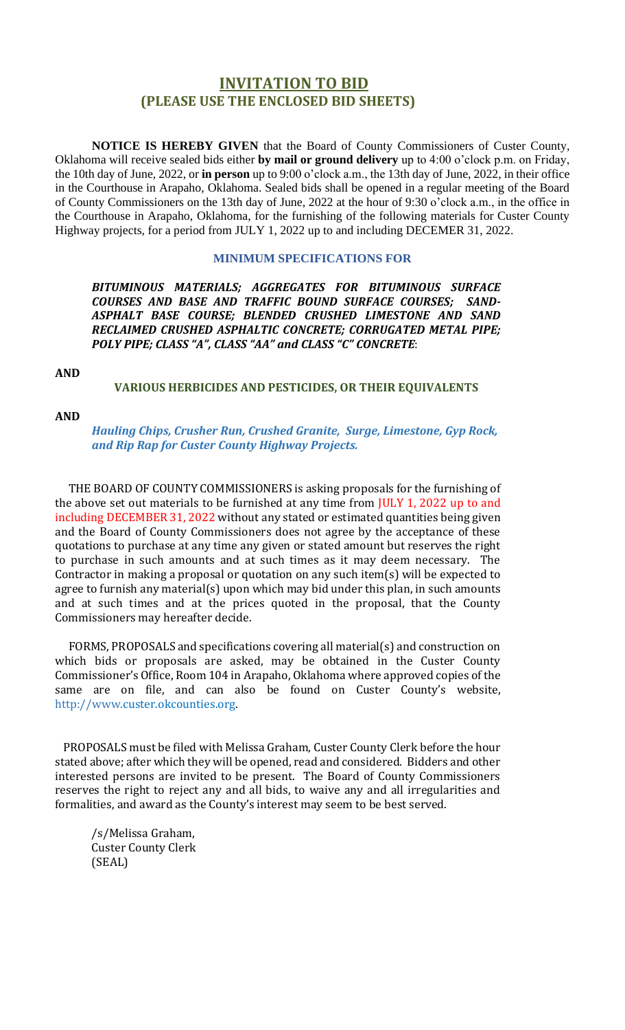## **INVITATION TO BID (PLEASE USE THE ENCLOSED BID SHEETS)**

**NOTICE IS HEREBY GIVEN** that the Board of County Commissioners of Custer County, Oklahoma will receive sealed bids either **by mail or ground delivery** up to 4:00 o'clock p.m. on Friday, the 10th day of June, 2022, or **in person** up to 9:00 o'clock a.m., the 13th day of June, 2022, in their office in the Courthouse in Arapaho, Oklahoma. Sealed bids shall be opened in a regular meeting of the Board of County Commissioners on the 13th day of June, 2022 at the hour of 9:30 o'clock a.m., in the office in the Courthouse in Arapaho, Oklahoma, for the furnishing of the following materials for Custer County Highway projects, for a period from JULY 1, 2022 up to and including DECEMER 31, 2022.

#### **MINIMUM SPECIFICATIONS FOR**

*BITUMINOUS MATERIALS; AGGREGATES FOR BITUMINOUS SURFACE COURSES AND BASE AND TRAFFIC BOUND SURFACE COURSES; SAND-ASPHALT BASE COURSE; BLENDED CRUSHED LIMESTONE AND SAND RECLAIMED CRUSHED ASPHALTIC CONCRETE; CORRUGATED METAL PIPE; POLY PIPE; CLASS "A", CLASS "AA" and CLASS "C" CONCRETE*:

#### **AND**

#### **VARIOUS HERBICIDES AND PESTICIDES, OR THEIR EQUIVALENTS**

#### **AND**

*Hauling Chips, Crusher Run, Crushed Granite, Surge, Limestone, Gyp Rock, and Rip Rap for Custer County Highway Projects.*

 THE BOARD OF COUNTY COMMISSIONERS is asking proposals for the furnishing of the above set out materials to be furnished at any time from JULY 1, 2022 up to and including DECEMBER 31, 2022 without any stated or estimated quantities being given and the Board of County Commissioners does not agree by the acceptance of these quotations to purchase at any time any given or stated amount but reserves the right to purchase in such amounts and at such times as it may deem necessary. The Contractor in making a proposal or quotation on any such item(s) will be expected to agree to furnish any material(s) upon which may bid under this plan, in such amounts and at such times and at the prices quoted in the proposal, that the County Commissioners may hereafter decide.

 FORMS, PROPOSALS and specifications covering all material(s) and construction on which bids or proposals are asked, may be obtained in the Custer County Commissioner's Office, Room 104 in Arapaho, Oklahoma where approved copies of the same are on file, and can also be found on Custer County's website, http://www.custer.okcounties.org.

 PROPOSALS must be filed with Melissa Graham, Custer County Clerk before the hour stated above; after which they will be opened, read and considered. Bidders and other interested persons are invited to be present. The Board of County Commissioners reserves the right to reject any and all bids, to waive any and all irregularities and formalities, and award as the County's interest may seem to be best served.

/s/Melissa Graham, Custer County Clerk (SEAL)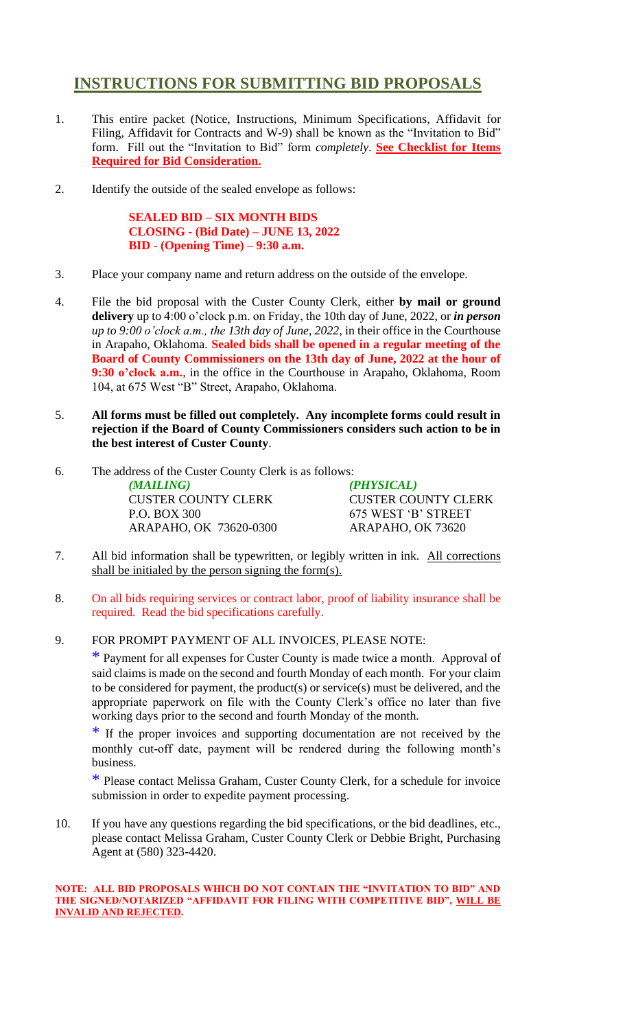## **INSTRUCTIONS FOR SUBMITTING BID PROPOSALS**

- 1. This entire packet (Notice, Instructions, Minimum Specifications, Affidavit for Filing, Affidavit for Contracts and W-9) shall be known as the "Invitation to Bid" form. Fill out the "Invitation to Bid" form *completely*. **See Checklist for Items Required for Bid Consideration.**
- 2. Identify the outside of the sealed envelope as follows:

**SEALED BID – SIX MONTH BIDS CLOSING - (Bid Date) – JUNE 13, 2022 BID - (Opening Time) – 9:30 a.m.**

- 3. Place your company name and return address on the outside of the envelope.
- 4. File the bid proposal with the Custer County Clerk, either **by mail or ground delivery** up to 4:00 o'clock p.m. on Friday, the 10th day of June, 2022, or *in person up to 9:00 o'clock a.m., the 13th day of June, 2022*, in their office in the Courthouse in Arapaho, Oklahoma. **Sealed bids shall be opened in a regular meeting of the Board of County Commissioners on the 13th day of June, 2022 at the hour of 9:30 o'clock a.m.**, in the office in the Courthouse in Arapaho, Oklahoma, Room 104, at 675 West "B" Street, Arapaho, Oklahoma.
- 5. **All forms must be filled out completely. Any incomplete forms could result in rejection if the Board of County Commissioners considers such action to be in the best interest of Custer County**.
- 6. The address of the Custer County Clerk is as follows:

*(MAILING) (PHYSICAL)* CUSTER COUNTY CLERK CUSTER COUNTY CLERK P.O. BOX 300 675 WEST 'B' STREET ARAPAHO, OK 73620-0300 ARAPAHO, OK 73620

- 7. All bid information shall be typewritten, or legibly written in ink. All corrections shall be initialed by the person signing the form(s).
- 8. On all bids requiring services or contract labor, proof of liability insurance shall be required. Read the bid specifications carefully.
- 9. FOR PROMPT PAYMENT OF ALL INVOICES, PLEASE NOTE:

\* Payment for all expenses for Custer County is made twice a month. Approval of said claims is made on the second and fourth Monday of each month. For your claim to be considered for payment, the product(s) or service(s) must be delivered, and the appropriate paperwork on file with the County Clerk's office no later than five working days prior to the second and fourth Monday of the month.

\* If the proper invoices and supporting documentation are not received by the monthly cut-off date, payment will be rendered during the following month's business.

\* Please contact Melissa Graham, Custer County Clerk, for a schedule for invoice submission in order to expedite payment processing.

10. If you have any questions regarding the bid specifications, or the bid deadlines, etc., please contact Melissa Graham, Custer County Clerk or Debbie Bright, Purchasing Agent at (580) 323-4420.

#### **NOTE: ALL BID PROPOSALS WHICH DO NOT CONTAIN THE "INVITATION TO BID" AND THE SIGNED/NOTARIZED "AFFIDAVIT FOR FILING WITH COMPETITIVE BID", WILL BE INVALID AND REJECTED.**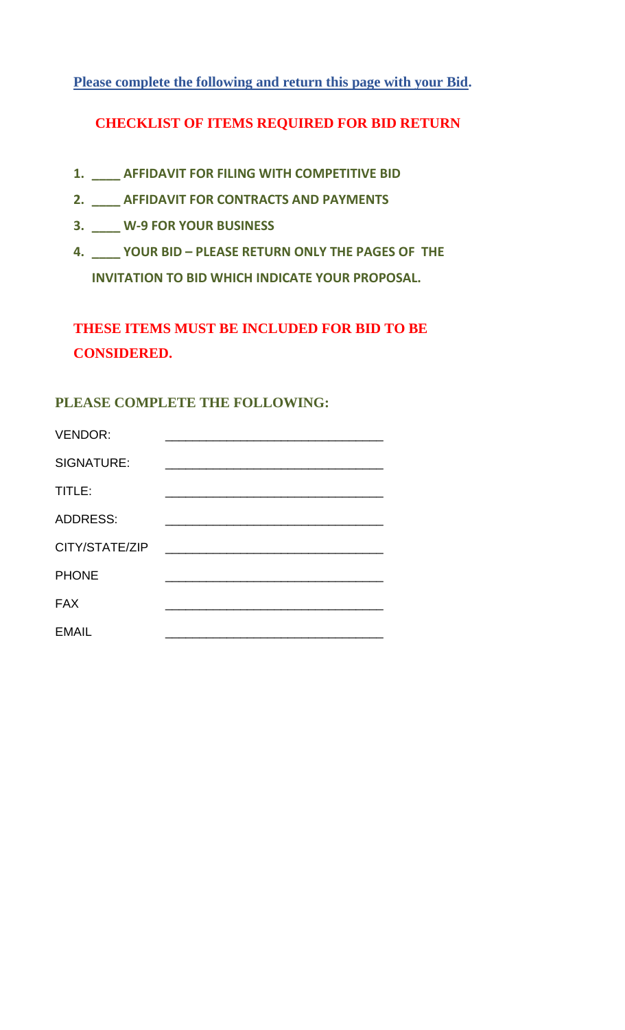**Please complete the following and return this page with your Bid.**

## **CHECKLIST OF ITEMS REQUIRED FOR BID RETURN**

- **1. \_\_\_\_ AFFIDAVIT FOR FILING WITH COMPETITIVE BID**
- **2. \_\_\_\_ AFFIDAVIT FOR CONTRACTS AND PAYMENTS**
- **3. \_\_\_\_ W-9 FOR YOUR BUSINESS**
- **4. \_\_\_\_ YOUR BID – PLEASE RETURN ONLY THE PAGES OF THE INVITATION TO BID WHICH INDICATE YOUR PROPOSAL.**

## **THESE ITEMS MUST BE INCLUDED FOR BID TO BE CONSIDERED.**

## **PLEASE COMPLETE THE FOLLOWING:**

| <b>VENDOR:</b>  |  |
|-----------------|--|
| SIGNATURE:      |  |
| TITLE:          |  |
| <b>ADDRESS:</b> |  |
| CITY/STATE/ZIP  |  |
| <b>PHONE</b>    |  |
| <b>FAX</b>      |  |
| <b>EMAIL</b>    |  |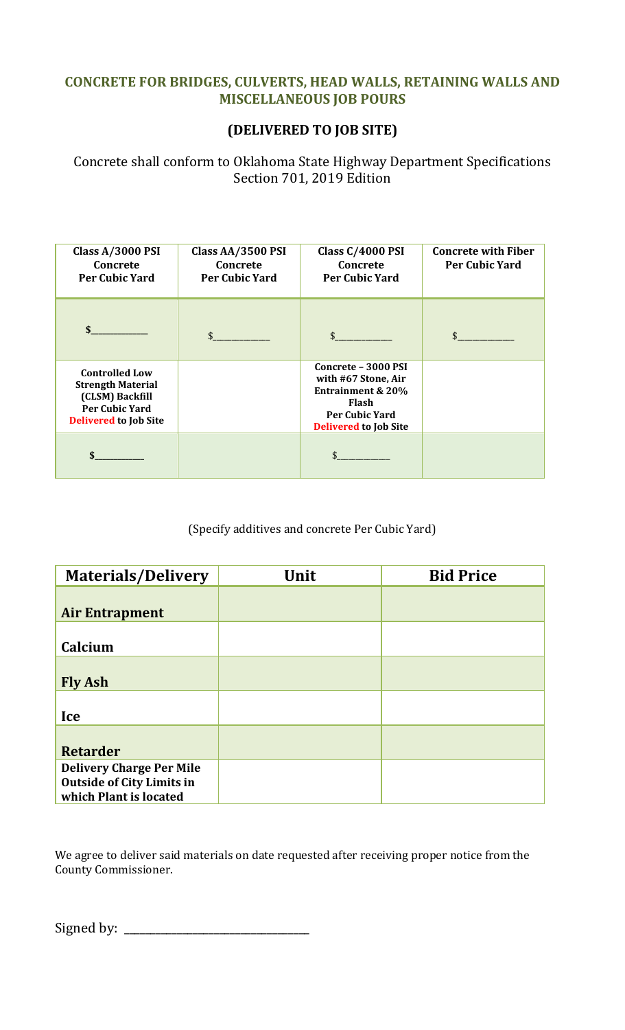## **CONCRETE FOR BRIDGES, CULVERTS, HEAD WALLS, RETAINING WALLS AND MISCELLANEOUS JOB POURS**

## **(DELIVERED TO JOB SITE)**

Concrete shall conform to Oklahoma State Highway Department Specifications Section 701, 2019 Edition

| Class A/3000 PSI<br>Concrete<br><b>Per Cubic Yard</b>                                                                         | Class AA/3500 PSI<br>Concrete<br><b>Per Cubic Yard</b> | <b>Class C/4000 PSI</b><br>Concrete<br><b>Per Cubic Yard</b>                                                                                        | <b>Concrete with Fiber</b><br><b>Per Cubic Yard</b> |
|-------------------------------------------------------------------------------------------------------------------------------|--------------------------------------------------------|-----------------------------------------------------------------------------------------------------------------------------------------------------|-----------------------------------------------------|
| $\mathbf{\$}$                                                                                                                 |                                                        |                                                                                                                                                     |                                                     |
| <b>Controlled Low</b><br><b>Strength Material</b><br>(CLSM) Backfill<br><b>Per Cubic Yard</b><br><b>Delivered to Job Site</b> |                                                        | Concrete - 3000 PSI<br>with #67 Stone, Air<br><b>Entrainment &amp; 20%</b><br><b>Flash</b><br><b>Per Cubic Yard</b><br><b>Delivered to Job Site</b> |                                                     |
|                                                                                                                               |                                                        |                                                                                                                                                     |                                                     |

(Specify additives and concrete Per Cubic Yard)

| <b>Materials/Delivery</b>                                                                     | Unit | <b>Bid Price</b> |
|-----------------------------------------------------------------------------------------------|------|------------------|
| <b>Air Entrapment</b>                                                                         |      |                  |
| Calcium                                                                                       |      |                  |
| <b>Fly Ash</b>                                                                                |      |                  |
| Ice                                                                                           |      |                  |
| <b>Retarder</b>                                                                               |      |                  |
| <b>Delivery Charge Per Mile</b><br><b>Outside of City Limits in</b><br>which Plant is located |      |                  |

We agree to deliver said materials on date requested after receiving proper notice from the County Commissioner.

Signed by: \_\_\_\_\_\_\_\_\_\_\_\_\_\_\_\_\_\_\_\_\_\_\_\_\_\_\_\_\_\_\_\_\_\_\_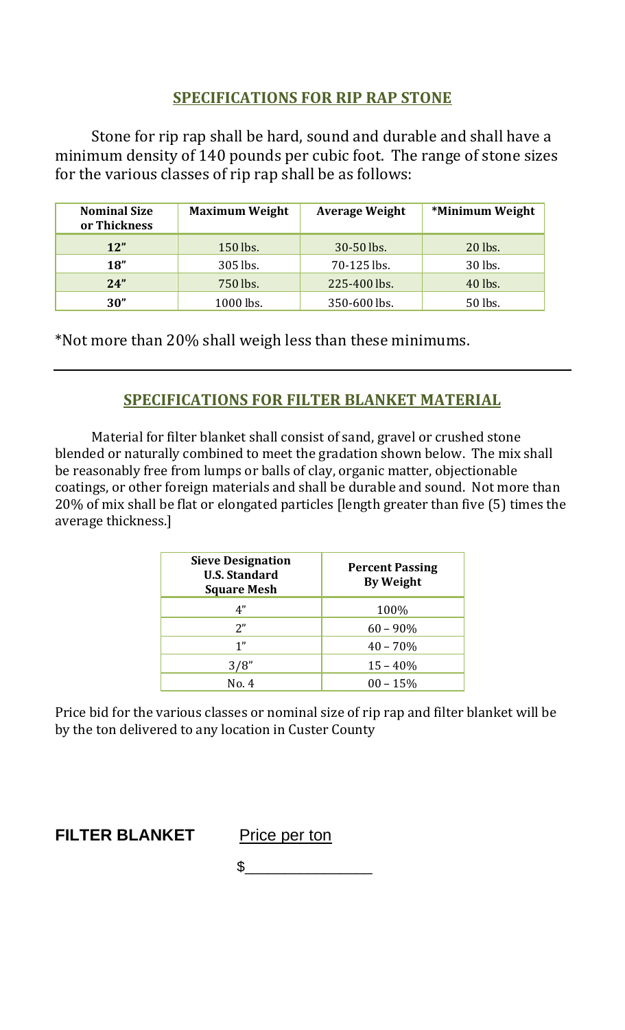## **SPECIFICATIONS FOR RIP RAP STONE**

Stone for rip rap shall be hard, sound and durable and shall have a minimum density of 140 pounds per cubic foot. The range of stone sizes for the various classes of rip rap shall be as follows:

| <b>Nominal Size</b><br>or Thickness | <b>Maximum Weight</b> | <b>Average Weight</b> | *Minimum Weight |
|-------------------------------------|-----------------------|-----------------------|-----------------|
| 12"                                 | 150 lbs.              | 30-50 lbs.            | 20 lbs.         |
| 18"                                 | 305 lbs.              | 70-125 lbs.           | 30 lbs.         |
| 24"                                 | 750 lbs.              | 225-400 lbs.          | 40 lbs.         |
| 30"                                 | 1000 lbs.             | 350-600 lbs.          | 50 lbs.         |

\*Not more than 20% shall weigh less than these minimums.

## **SPECIFICATIONS FOR FILTER BLANKET MATERIAL**

Material for filter blanket shall consist of sand, gravel or crushed stone blended or naturally combined to meet the gradation shown below. The mix shall be reasonably free from lumps or balls of clay, organic matter, objectionable coatings, or other foreign materials and shall be durable and sound. Not more than 20% of mix shall be flat or elongated particles [length greater than five (5) times the average thickness.]

| <b>Sieve Designation</b><br><b>U.S. Standard</b><br><b>Square Mesh</b> | <b>Percent Passing</b><br><b>By Weight</b> |
|------------------------------------------------------------------------|--------------------------------------------|
| 4"                                                                     | 100%                                       |
| 2"                                                                     | $60 - 90\%$                                |
| 1"                                                                     | $40 - 70%$                                 |
| 3/8"                                                                   | $15 - 40%$                                 |
| No. 4                                                                  | $00 - 15%$                                 |

Price bid for the various classes or nominal size of rip rap and filter blanket will be by the ton delivered to any location in Custer County

**FILTER BLANKET** Price per ton

 $\frac{1}{2}$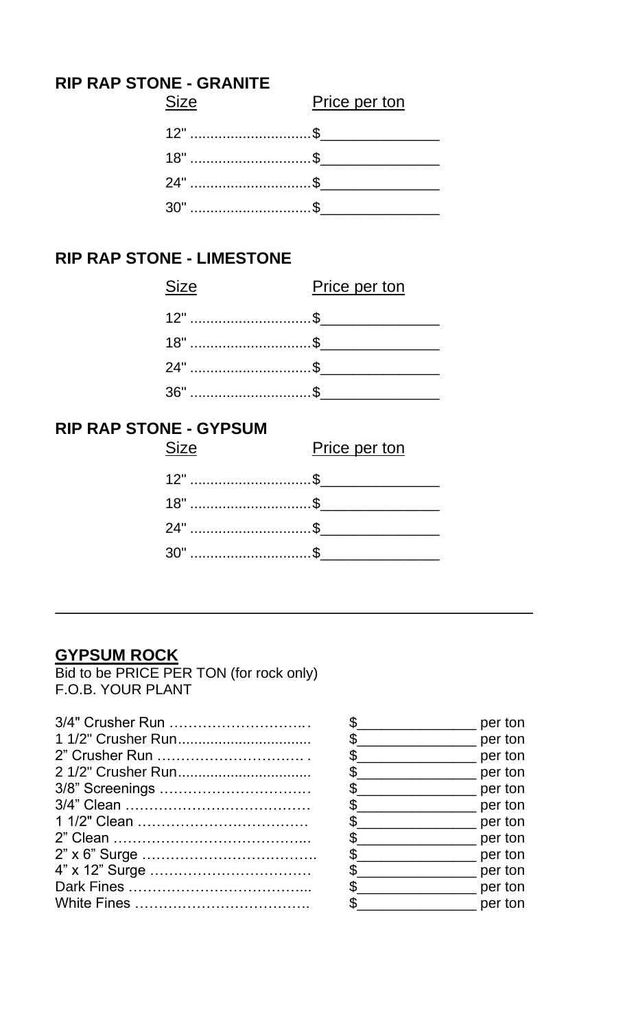## **RIP RAP STONE - GRANITE**

| <b>Size</b>     | Price per ton |
|-----------------|---------------|
| $12^{\circ}$ \$ |               |
|                 |               |
|                 |               |
| $30"$ \$        |               |

## **RIP RAP STONE - LIMESTONE**

| <b>Size</b>     | Price per ton |
|-----------------|---------------|
| $12^{\circ}$ \$ |               |
|                 |               |
|                 |               |
| $36"$ \$        |               |

## **RIP RAP STONE - GYPSUM**

| <b>Size</b> | Price per ton |
|-------------|---------------|
|             |               |
| $18"$ \$    |               |
| 24" \$      |               |
| $30"$ \$    |               |

## **GYPSUM ROCK**

Bid to be PRICE PER TON (for rock only) F.O.B. YOUR PLANT

| 3/4" Crusher Run   | $S_{--}$      |
|--------------------|---------------|
|                    | $\frac{1}{2}$ |
| 2" Crusher Run     | $\frac{1}{2}$ |
| 2 1/2" Crusher Run | $\frac{1}{2}$ |
| 3/8" Screenings    | $S_{--}$      |
|                    | $S_{--}$      |
|                    | $S_{--}$      |
|                    | $S_{--}$      |
|                    | $S_{--}$      |
|                    | $\frac{1}{2}$ |
|                    | $\frac{1}{2}$ |
|                    | $\frac{1}{2}$ |
|                    |               |

|     | per ton |
|-----|---------|
| \$  | per ton |
| \$  | per ton |
| \$  | per ton |
| \$  | per ton |
| \$  | per ton |
| \$. | per ton |
| \$. | per ton |
| \$  | per ton |
| \$  | per ton |
| \$  | per ton |
| ፍ   | per ton |
|     |         |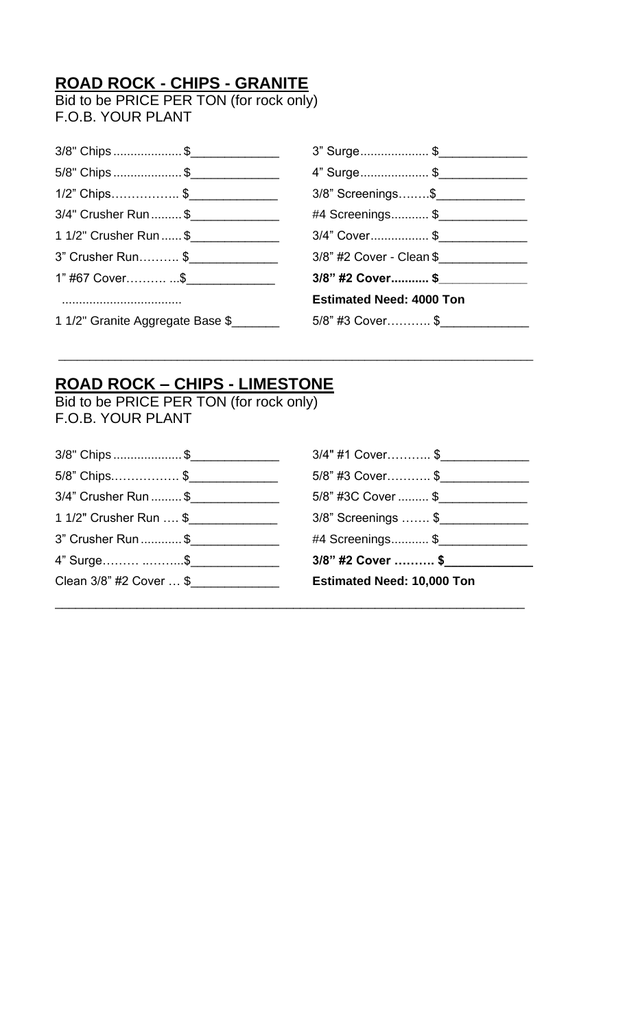# **ROAD ROCK - CHIPS - GRANITE**

Bid to be PRICE PER TON (for rock only) F.O.B. YOUR PLANT

| 3/8" Chips \$                    | 3" Surge\$                      |
|----------------------------------|---------------------------------|
| 5/8" Chips \$                    | 4" Surge\$                      |
| 1/2" Chips\$                     | 3/8" Screenings\$               |
| 3/4" Crusher Run \$              | #4 Screenings \$                |
| 1 1/2" Crusher Run  \$           | 3/4" Cover\$                    |
| 3" Crusher Run\$                 | 3/8" #2 Cover - Clean \$        |
| 1" #67 Cover\$_________________  | 3/8" #2 Cover \$                |
|                                  | <b>Estimated Need: 4000 Ton</b> |
| 1 1/2" Granite Aggregate Base \$ | 5/8" #3 Cover\$                 |
|                                  |                                 |

\_\_\_\_\_\_\_\_\_\_\_\_\_\_\_\_\_\_\_\_\_\_\_\_\_\_\_\_\_\_\_\_\_\_\_\_\_\_\_\_\_\_\_\_\_\_\_\_\_\_\_\_\_\_\_\_\_\_\_\_\_\_\_\_\_\_\_\_\_\_\_\_\_\_\_\_

## **ROAD ROCK – CHIPS - LIMESTONE**

Bid to be PRICE PER TON (for rock only) F.O.B. YOUR PLANT

| Clean 3/8" #2 Cover  \$ | <b>Estimated Need: 10,000 Ton</b> |
|-------------------------|-----------------------------------|
| 4" Surge \$             | 3/8" #2 Cover  \$                 |
| 3" Crusher Run \$       | #4 Screenings \$                  |
| 1 1/2" Crusher Run  \$  | 3/8" Screenings  \$               |
| 3/4" Crusher Run  \$    | 5/8" #3C Cover  \$                |
| 5/8" Chips\$            | 5/8" #3 Cover\$                   |
| 3/8" Chips \$           | 3/4" #1 Cover\$                   |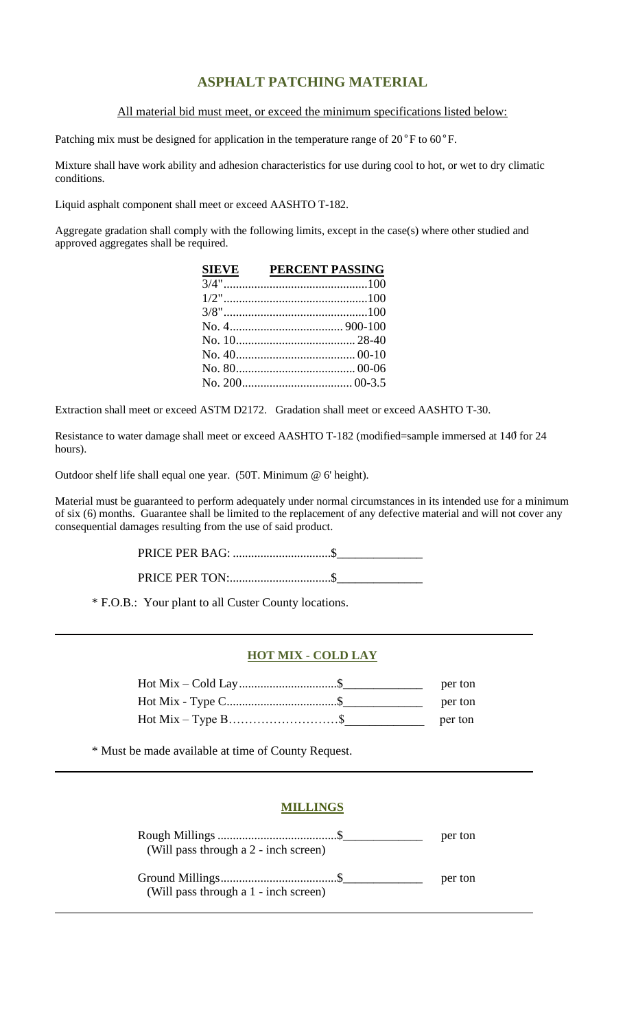## **ASPHALT PATCHING MATERIAL**

All material bid must meet, or exceed the minimum specifications listed below:

Patching mix must be designed for application in the temperature range of 20°F to 60°F.

Mixture shall have work ability and adhesion characteristics for use during cool to hot, or wet to dry climatic conditions.

Liquid asphalt component shall meet or exceed AASHTO T-182.

Aggregate gradation shall comply with the following limits, except in the case(s) where other studied and approved aggregates shall be required.

| <b>SIEVE</b> | PERCENT PASSING |
|--------------|-----------------|
|              |                 |
|              |                 |
|              |                 |
|              |                 |
|              |                 |
|              |                 |
|              |                 |
|              |                 |

Extraction shall meet or exceed ASTM D2172. Gradation shall meet or exceed AASHTO T-30.

Resistance to water damage shall meet or exceed AASHTO T-182 (modified=sample immersed at 140̊for 24 hours).

Outdoor shelf life shall equal one year. (50T. Minimum @ 6' height).

Material must be guaranteed to perform adequately under normal circumstances in its intended use for a minimum of six (6) months. Guarantee shall be limited to the replacement of any defective material and will not cover any consequential damages resulting from the use of said product.

> PRICE PER BAG: ................................\$\_\_\_\_\_\_\_\_\_\_\_\_\_\_ PRICE PER TON:.................................\$\_\_\_\_\_\_\_\_\_\_\_\_\_\_

\* F.O.B.: Your plant to all Custer County locations.

#### **HOT MIX - COLD LAY**

| per ton |
|---------|
| per ton |
| per ton |

\* Must be made available at time of County Request.

### **MILLINGS**

|                                       | per ton |
|---------------------------------------|---------|
| (Will pass through a 2 - inch screen) |         |
|                                       | per ton |
| (Will pass through a 1 - inch screen) |         |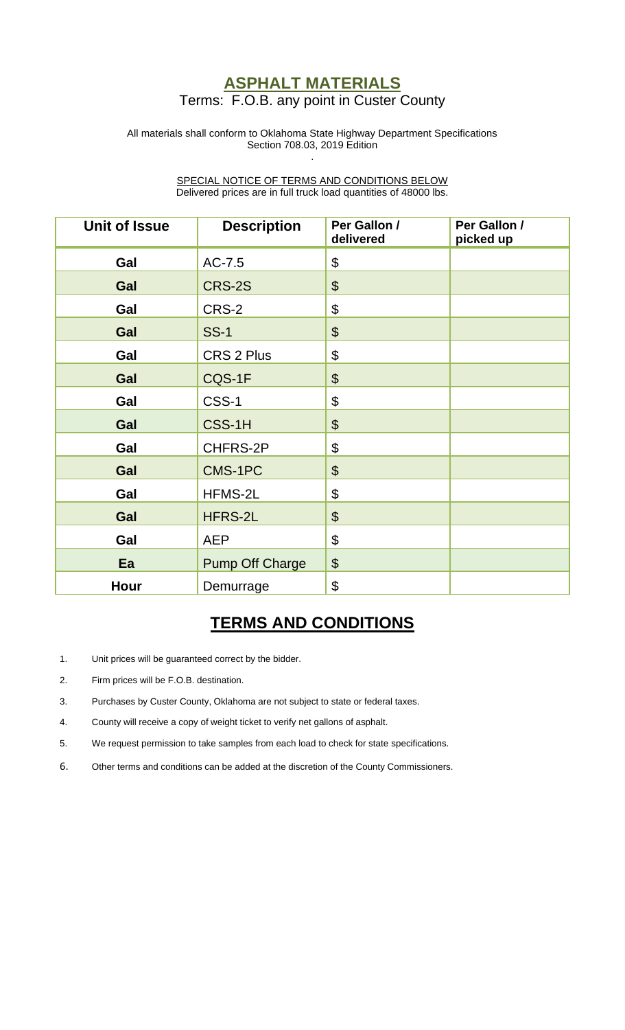## **ASPHALT MATERIALS** Terms: F.O.B. any point in Custer County

#### All materials shall conform to Oklahoma State Highway Department Specifications Section 708.03, 2019 Edition .

SPECIAL NOTICE OF TERMS AND CONDITIONS BELOW Delivered prices are in full truck load quantities of 48000 lbs.

| <b>Unit of Issue</b> | <b>Description</b>     | Per Gallon /<br>delivered | Per Gallon /<br>picked up |
|----------------------|------------------------|---------------------------|---------------------------|
| Gal                  | AC-7.5                 | \$                        |                           |
| Gal                  | CRS-2S                 | $\boldsymbol{\theta}$     |                           |
| Gal                  | CRS-2                  | \$                        |                           |
| Gal                  | <b>SS-1</b>            | $\boldsymbol{\theta}$     |                           |
| Gal                  | CRS 2 Plus             | \$                        |                           |
| Gal                  | CQS-1F                 | $\boldsymbol{\theta}$     |                           |
| Gal                  | CSS-1                  | \$                        |                           |
| Gal                  | CSS-1H                 | $\boldsymbol{\theta}$     |                           |
| Gal                  | CHFRS-2P               | $\boldsymbol{\theta}$     |                           |
| Gal                  | CMS-1PC                | $\boldsymbol{\theta}$     |                           |
| Gal                  | HFMS-2L                | \$                        |                           |
| Gal                  | HFRS-2L                | $\boldsymbol{\theta}$     |                           |
| Gal                  | <b>AEP</b>             | $\boldsymbol{\theta}$     |                           |
| Ea                   | <b>Pump Off Charge</b> | \$                        |                           |
| Hour                 | Demurrage              | \$                        |                           |

## **TERMS AND CONDITIONS**

- 1. Unit prices will be guaranteed correct by the bidder.
- 2. Firm prices will be F.O.B. destination.
- 3. Purchases by Custer County, Oklahoma are not subject to state or federal taxes.
- 4. County will receive a copy of weight ticket to verify net gallons of asphalt.
- 5. We request permission to take samples from each load to check for state specifications.
- 6. Other terms and conditions can be added at the discretion of the County Commissioners.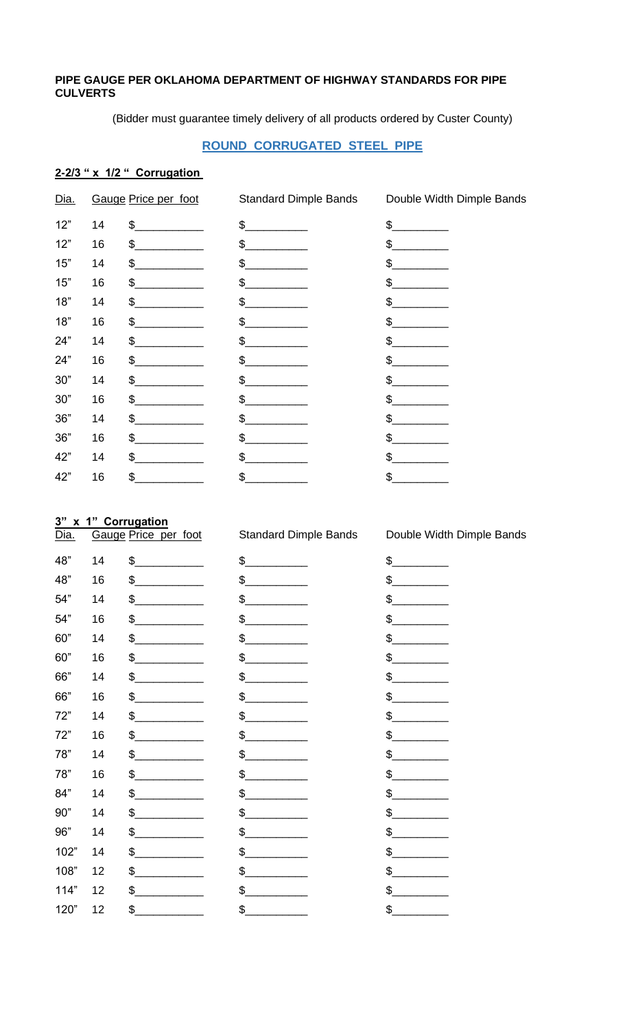#### PIPE GAUGE PER OKLAHOMA DEPARTMENT OF HIGHWAY STANDARDS FOR PIPE **CULVERTS**

(Bidder must guarantee timely delivery of all products ordered by Custer County)

### **ROUND CORRUGATED STEEL PIPE**

### 2-2/3 " x 1/2 " Corrugation

| Dia.  |    | Gauge Price per foot | <b>Standard Dimple Bands</b> | Double Width Dimple Bands |
|-------|----|----------------------|------------------------------|---------------------------|
| 12"   | 14 | $\frac{1}{2}$        | $\frac{1}{2}$                | \$                        |
| 12"   | 16 | \$                   | \$                           | \$                        |
| 15"   | 14 | \$                   | \$                           | $\delta$                  |
| 15"   | 16 | \$                   | \$                           | \$                        |
| 18"   | 14 | \$                   | \$                           | \$                        |
| 18"   | 16 | \$                   | \$                           | \$                        |
| 24"   | 14 | \$                   | \$                           | \$                        |
| 24"   | 16 | \$                   | \$                           | \$                        |
| $30"$ | 14 | \$                   | \$                           | \$                        |
| 30"   | 16 | \$                   | \$                           | \$                        |
| $36"$ | 14 | \$                   | \$                           | \$                        |
| 36"   | 16 | \$                   | \$                           | \$                        |
| 42"   | 14 | \$                   | \$                           | \$                        |
| 42"   | 16 | \$                   | \$                           | \$                        |
|       |    |                      |                              |                           |

### 3" x 1" Corrugation

| <u>Dia.</u> |    | Gauge Price per foot | <b>Standard Dimple Bands</b> | Double Width Dimple Bands |
|-------------|----|----------------------|------------------------------|---------------------------|
| 48"         | 14 | $\frac{1}{2}$        | \$                           | $\frac{1}{2}$             |
| 48"         | 16 | $\frac{1}{2}$        | \$                           | \$                        |
| 54"         | 14 | \$                   | \$                           | \$                        |
| 54"         | 16 | \$                   | \$                           | \$                        |
| 60"         | 14 | $\frac{1}{2}$        | \$                           | \$                        |
| 60"         | 16 | \$                   | \$                           | \$                        |
| 66"         | 14 | \$                   | \$                           | \$                        |
| 66"         | 16 | \$                   | \$                           | \$                        |
| 72"         | 14 | \$                   | \$                           | \$                        |
| 72"         | 16 | \$.                  | \$                           | \$                        |
| 78"         | 14 | \$                   | \$                           | \$                        |
| 78"         | 16 | \$                   | \$                           | \$                        |
| 84"         | 14 | \$                   | \$                           | \$                        |
| 90"         | 14 | \$                   | \$                           | \$                        |
| 96"         | 14 | \$                   | \$                           | \$                        |
| 102"        | 14 | \$                   | \$                           | \$                        |
| 108"        | 12 | \$                   | \$                           | \$                        |
| 114"        | 12 | \$.                  | \$                           | \$                        |
| 120"        | 12 | \$                   | \$                           | \$                        |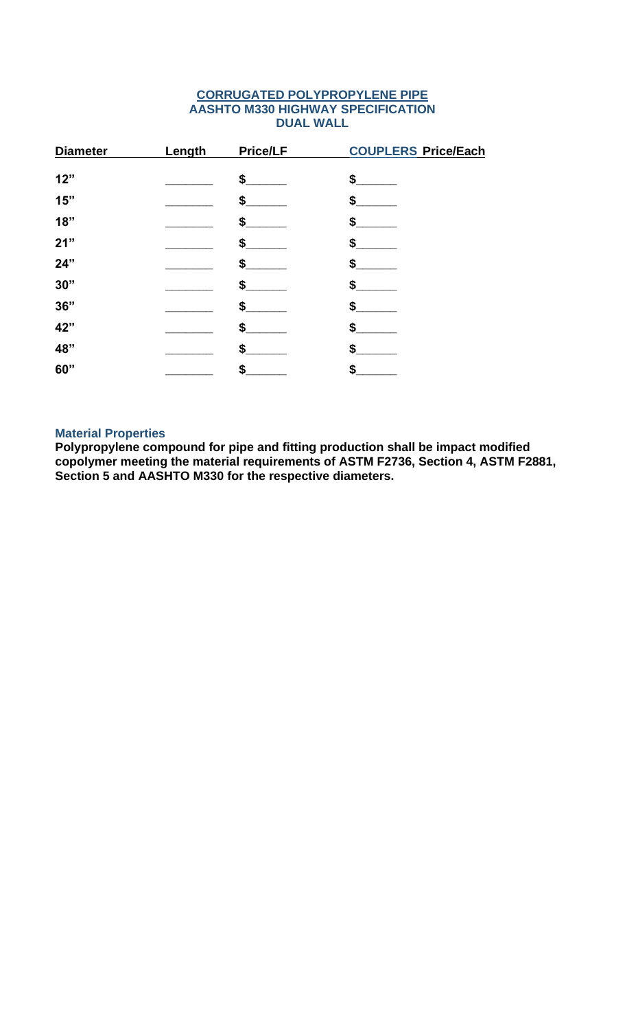### **CORRUGATED POLYPROPYLENE PIPE AASHTO M330 HIGHWAY SPECIFICATION DUAL WALL**

| <b>Diameter</b> | Length | Price/LF | <b>COUPLERS Price/Each</b> |
|-----------------|--------|----------|----------------------------|
|                 |        |          |                            |
| 12"             |        | \$       | \$.                        |
| 15"             |        | \$       |                            |
| 18"             |        | \$       |                            |
| 21"             |        | \$       | \$                         |
| 24"             |        | \$       |                            |
| 30"             |        | \$       |                            |
| 36"             |        | \$       | \$                         |
| 42"             |        | \$       |                            |
| 48"             |        | \$       |                            |
| 60"             |        | \$       |                            |

### **Material Properties**

**Polypropylene compound for pipe and fitting production shall be impact modified copolymer meeting the material requirements of ASTM F2736, Section 4, ASTM F2881, Section 5 and AASHTO M330 for the respective diameters.**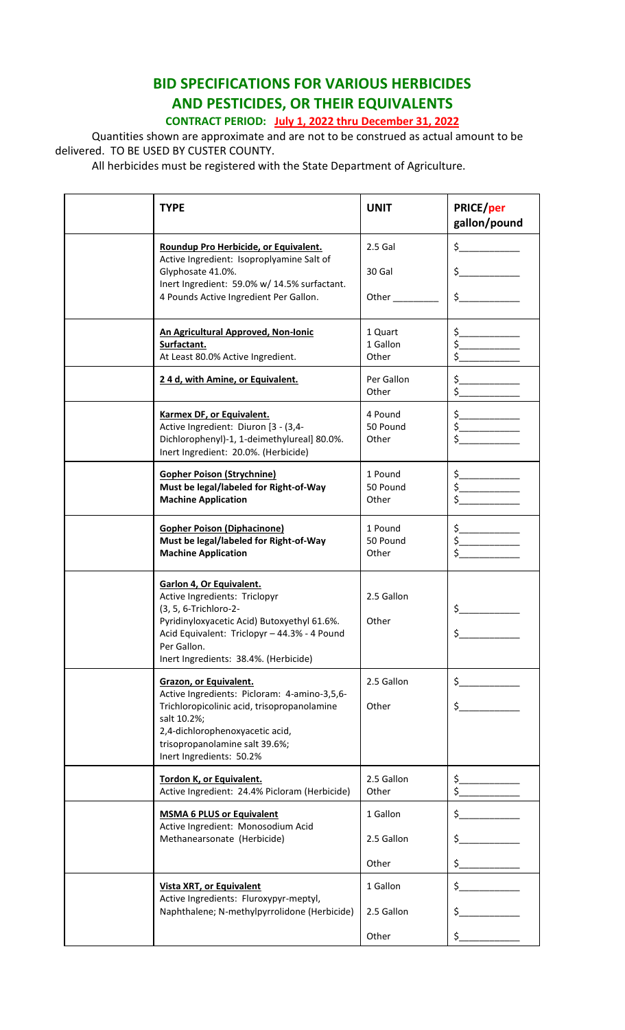## **BID SPECIFICATIONS FOR VARIOUS HERBICIDES AND PESTICIDES, OR THEIR EQUIVALENTS CONTRACT PERIOD: July 1, 2022 thru December 31, 2022**

Quantities shown are approximate and are not to be construed as actual amount to be delivered. TO BE USED BY CUSTER COUNTY.

All herbicides must be registered with the State Department of Agriculture.

| <b>TYPE</b>                                                                                                                                                                                                                                  | <b>UNIT</b>                  | PRICE/per<br>gallon/pound                      |
|----------------------------------------------------------------------------------------------------------------------------------------------------------------------------------------------------------------------------------------------|------------------------------|------------------------------------------------|
| Roundup Pro Herbicide, or Equivalent.                                                                                                                                                                                                        | $2.5$ Gal                    | $\sharp$ and $\sharp$                          |
| Active Ingredient: Isoproplyamine Salt of<br>Glyphosate 41.0%.                                                                                                                                                                               | 30 Gal                       | $\frac{1}{2}$                                  |
| Inert Ingredient: 59.0% w/ 14.5% surfactant.<br>4 Pounds Active Ingredient Per Gallon.                                                                                                                                                       | Other                        | $\sharp$ and $\sharp$                          |
| An Agricultural Approved, Non-Ionic<br>Surfactant.<br>At Least 80.0% Active Ingredient.                                                                                                                                                      | 1 Quart<br>1 Gallon<br>Other | $\frac{1}{2}$                                  |
| 24 d, with Amine, or Equivalent.                                                                                                                                                                                                             | Per Gallon<br>Other          | \$.<br>\$                                      |
| <b>Karmex DF, or Equivalent.</b><br>Active Ingredient: Diuron [3 - (3,4-<br>Dichlorophenyl)-1, 1-deimethylureal] 80.0%.<br>Inert Ingredient: 20.0%. (Herbicide)                                                                              | 4 Pound<br>50 Pound<br>Other | \$__<br>$\sharp$ and $\sharp$                  |
| <b>Gopher Poison (Strychnine)</b><br>Must be legal/labeled for Right-of-Way<br><b>Machine Application</b>                                                                                                                                    | 1 Pound<br>50 Pound<br>Other | $\frac{1}{\sqrt{2}}$<br>$\frac{1}{2}$          |
| <b>Gopher Poison (Diphacinone)</b><br>Must be legal/labeled for Right-of-Way<br><b>Machine Application</b>                                                                                                                                   | 1 Pound<br>50 Pound<br>Other | $\mathsf{s}\_\_\_\_\_\_\_\_\$<br>$\frac{1}{2}$ |
| Garlon 4, Or Equivalent.<br>Active Ingredients: Triclopyr<br>(3, 5, 6-Trichloro-2-<br>Pyridinyloxyacetic Acid) Butoxyethyl 61.6%.<br>Acid Equivalent: Triclopyr - 44.3% - 4 Pound<br>Per Gallon.<br>Inert Ingredients: 38.4%. (Herbicide)    | 2.5 Gallon<br>Other          | \$                                             |
| <b>Grazon, or Equivalent.</b><br>Active Ingredients: Picloram: 4-amino-3,5,6-<br>Trichloropicolinic acid, trisopropanolamine<br>salt 10.2%;<br>2,4-dichlorophenoxyacetic acid,<br>trisopropanolamine salt 39.6%;<br>Inert Ingredients: 50.2% | 2.5 Gallon<br>Other          | $\mathsf{\$}$<br>$\frac{1}{2}$                 |
| Tordon K, or Equivalent.<br>Active Ingredient: 24.4% Picloram (Herbicide)                                                                                                                                                                    | 2.5 Gallon<br>Other          | \$_<br>$\zeta$                                 |
| <b>MSMA 6 PLUS or Equivalent</b>                                                                                                                                                                                                             | 1 Gallon                     | $\frac{1}{2}$                                  |
| Active Ingredient: Monosodium Acid<br>Methanearsonate (Herbicide)                                                                                                                                                                            | 2.5 Gallon                   | \$_                                            |
|                                                                                                                                                                                                                                              | Other                        | \$_                                            |
| <b>Vista XRT, or Equivalent</b>                                                                                                                                                                                                              | 1 Gallon                     | $\frac{1}{2}$                                  |
| Active Ingredients: Fluroxypyr-meptyl,<br>Naphthalene; N-methylpyrrolidone (Herbicide)                                                                                                                                                       | 2.5 Gallon                   | $\frac{1}{2}$                                  |
|                                                                                                                                                                                                                                              | Other                        | \$_                                            |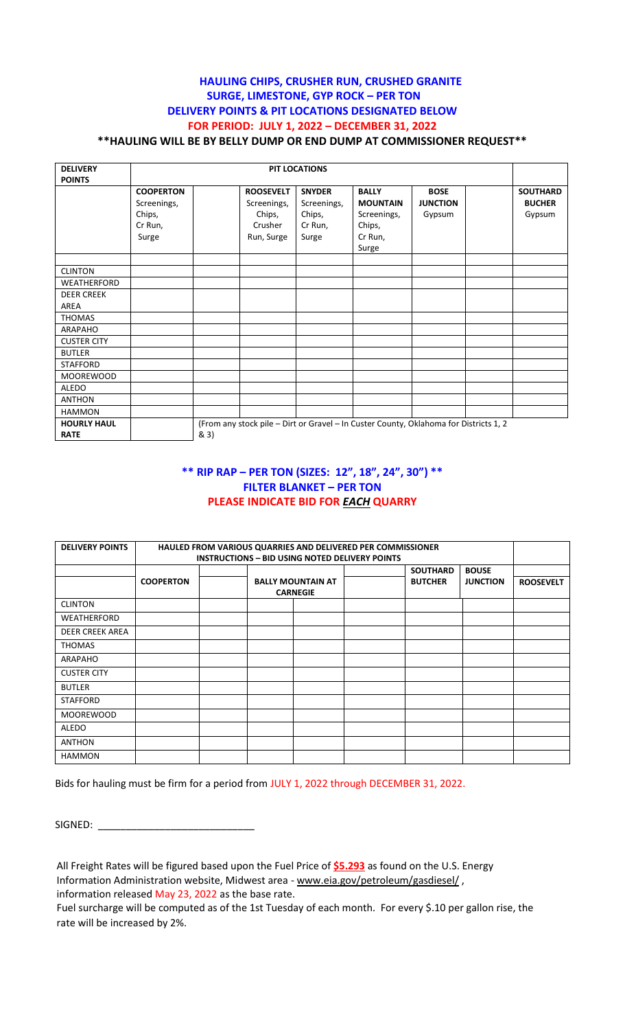#### **HAULING CHIPS, CRUSHER RUN, CRUSHED GRANITE SURGE, LIMESTONE, GYP ROCK – PER TON DELIVERY POINTS & PIT LOCATIONS DESIGNATED BELOW FOR PERIOD: JULY 1, 2022 – DECEMBER 31, 2022 \*\*HAULING WILL BE BY BELLY DUMP OR END DUMP AT COMMISSIONER REQUEST\*\***

| <b>DELIVERY</b>    | <b>PIT LOCATIONS</b> |  |                  |               |                                                                                       |                 |  |                 |
|--------------------|----------------------|--|------------------|---------------|---------------------------------------------------------------------------------------|-----------------|--|-----------------|
| <b>POINTS</b>      |                      |  |                  |               |                                                                                       |                 |  |                 |
|                    | <b>COOPERTON</b>     |  | <b>ROOSEVELT</b> | <b>SNYDER</b> | <b>BALLY</b>                                                                          | <b>BOSE</b>     |  | <b>SOUTHARD</b> |
|                    | Screenings,          |  | Screenings,      | Screenings,   | <b>MOUNTAIN</b>                                                                       | <b>JUNCTION</b> |  | <b>BUCHER</b>   |
|                    | Chips,               |  | Chips,           | Chips,        | Screenings,                                                                           | Gypsum          |  | Gypsum          |
|                    | Cr Run,              |  | Crusher          | Cr Run,       | Chips,                                                                                |                 |  |                 |
|                    | Surge                |  | Run, Surge       | Surge         | Cr Run,                                                                               |                 |  |                 |
|                    |                      |  |                  |               | Surge                                                                                 |                 |  |                 |
|                    |                      |  |                  |               |                                                                                       |                 |  |                 |
| <b>CLINTON</b>     |                      |  |                  |               |                                                                                       |                 |  |                 |
| WEATHERFORD        |                      |  |                  |               |                                                                                       |                 |  |                 |
| <b>DEER CREEK</b>  |                      |  |                  |               |                                                                                       |                 |  |                 |
| AREA               |                      |  |                  |               |                                                                                       |                 |  |                 |
| <b>THOMAS</b>      |                      |  |                  |               |                                                                                       |                 |  |                 |
| ARAPAHO            |                      |  |                  |               |                                                                                       |                 |  |                 |
| <b>CUSTER CITY</b> |                      |  |                  |               |                                                                                       |                 |  |                 |
| <b>BUTLER</b>      |                      |  |                  |               |                                                                                       |                 |  |                 |
| <b>STAFFORD</b>    |                      |  |                  |               |                                                                                       |                 |  |                 |
| <b>MOOREWOOD</b>   |                      |  |                  |               |                                                                                       |                 |  |                 |
| <b>ALEDO</b>       |                      |  |                  |               |                                                                                       |                 |  |                 |
| <b>ANTHON</b>      |                      |  |                  |               |                                                                                       |                 |  |                 |
| <b>HAMMON</b>      |                      |  |                  |               |                                                                                       |                 |  |                 |
| <b>HOURLY HAUL</b> |                      |  |                  |               | (From any stock pile - Dirt or Gravel - In Custer County, Oklahoma for Districts 1, 2 |                 |  |                 |
| <b>RATE</b>        | & 3)                 |  |                  |               |                                                                                       |                 |  |                 |

#### **\*\* RIP RAP – PER TON (SIZES: 12", 18", 24", 30") \*\* FILTER BLANKET – PER TON PLEASE INDICATE BID FOR** *EACH* **QUARRY**

| <b>DELIVERY POINTS</b> | <b>HAULED FROM VARIOUS QUARRIES AND DELIVERED PER COMMISSIONER</b><br><b>INSTRUCTIONS - BID USING NOTED DELIVERY POINTS</b> |  |                                             |  |  |                                   |                                 |                  |
|------------------------|-----------------------------------------------------------------------------------------------------------------------------|--|---------------------------------------------|--|--|-----------------------------------|---------------------------------|------------------|
|                        | <b>COOPERTON</b>                                                                                                            |  | <b>BALLY MOUNTAIN AT</b><br><b>CARNEGIE</b> |  |  | <b>SOUTHARD</b><br><b>BUTCHER</b> | <b>BOUSE</b><br><b>JUNCTION</b> | <b>ROOSEVELT</b> |
| <b>CLINTON</b>         |                                                                                                                             |  |                                             |  |  |                                   |                                 |                  |
| WEATHERFORD            |                                                                                                                             |  |                                             |  |  |                                   |                                 |                  |
| <b>DEER CREEK AREA</b> |                                                                                                                             |  |                                             |  |  |                                   |                                 |                  |
| THOMAS                 |                                                                                                                             |  |                                             |  |  |                                   |                                 |                  |
| ARAPAHO                |                                                                                                                             |  |                                             |  |  |                                   |                                 |                  |
| <b>CUSTER CITY</b>     |                                                                                                                             |  |                                             |  |  |                                   |                                 |                  |
| <b>BUTLER</b>          |                                                                                                                             |  |                                             |  |  |                                   |                                 |                  |
| <b>STAFFORD</b>        |                                                                                                                             |  |                                             |  |  |                                   |                                 |                  |
| <b>MOOREWOOD</b>       |                                                                                                                             |  |                                             |  |  |                                   |                                 |                  |
| <b>ALEDO</b>           |                                                                                                                             |  |                                             |  |  |                                   |                                 |                  |
| <b>ANTHON</b>          |                                                                                                                             |  |                                             |  |  |                                   |                                 |                  |
| <b>HAMMON</b>          |                                                                                                                             |  |                                             |  |  |                                   |                                 |                  |

Bids for hauling must be firm for a period from JULY 1, 2022 through DECEMBER 31, 2022.

SIGNED: \_\_\_\_\_\_\_\_\_\_\_\_\_\_\_\_\_\_\_\_\_\_\_\_\_\_\_\_

All Freight Rates will be figured based upon the Fuel Price of **\$5.293** as found on the U.S. Energy Information Administration website, Midwest area - [www.eia.gov/petroleum/gasdiesel/](http://www.eia.gov/petroleum/gasdiesel/) , information released May 23, 2022 as the base rate.

Fuel surcharge will be computed as of the 1st Tuesday of each month. For every \$.10 per gallon rise, the rate will be increased by 2%.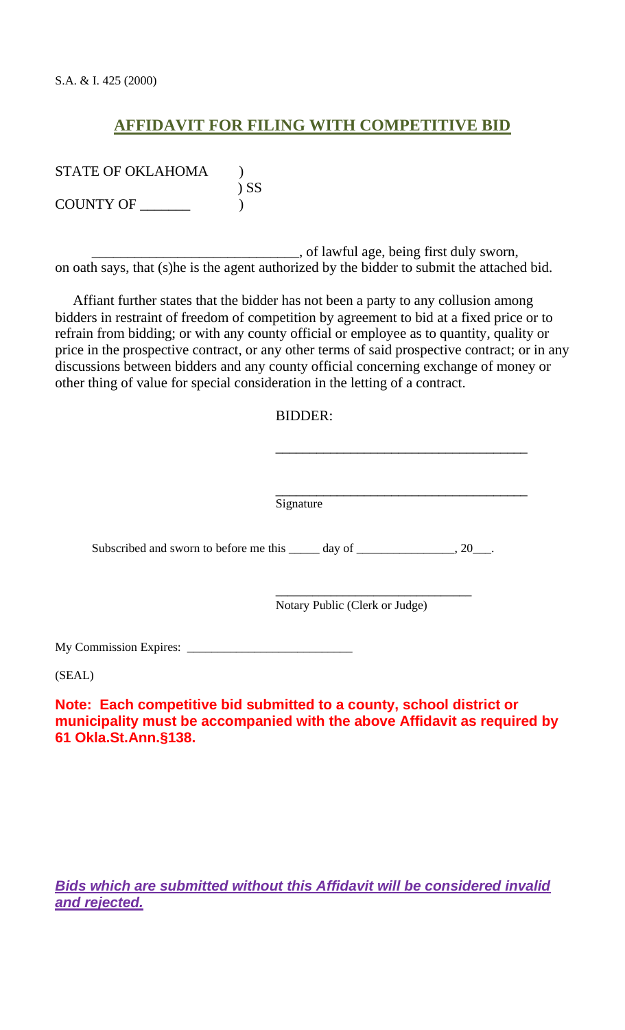## **AFFIDAVIT FOR FILING WITH COMPETITIVE BID**

STATE OF OKLAHOMA (1) ) SS COUNTY OF \_\_\_\_\_\_\_ )

\_\_\_\_\_\_\_\_\_\_\_\_\_\_\_\_\_\_\_\_\_\_\_\_\_\_\_\_\_, of lawful age, being first duly sworn, on oath says, that (s)he is the agent authorized by the bidder to submit the attached bid.

 Affiant further states that the bidder has not been a party to any collusion among bidders in restraint of freedom of competition by agreement to bid at a fixed price or to refrain from bidding; or with any county official or employee as to quantity, quality or price in the prospective contract, or any other terms of said prospective contract; or in any discussions between bidders and any county official concerning exchange of money or other thing of value for special consideration in the letting of a contract.

### BIDDER:

Signature

Subscribed and sworn to before me this  $\_\_\_\_$  day of  $\_\_\_\_\_\_\_$ , 20 $\_\_\_\_\$ .

Notary Public (Clerk or Judge)

\_\_\_\_\_\_\_\_\_\_\_\_\_\_\_\_\_\_\_\_\_\_\_\_\_\_\_\_\_\_\_\_

\_\_\_\_\_\_\_\_\_\_\_\_\_\_\_\_\_\_\_\_\_\_\_\_\_\_\_\_\_\_\_\_\_\_\_\_\_

\_\_\_\_\_\_\_\_\_\_\_\_\_\_\_\_\_\_\_\_\_\_\_\_\_\_\_\_\_\_\_\_\_\_\_\_\_

My Commission Expires: \_\_\_\_\_\_\_\_\_\_\_\_\_\_\_\_\_\_\_\_\_\_\_\_\_\_\_

(SEAL)

**Note: Each competitive bid submitted to a county, school district or municipality must be accompanied with the above Affidavit as required by 61 Okla.St.Ann.§138.**

*Bids which are submitted without this Affidavit will be considered invalid and rejected.*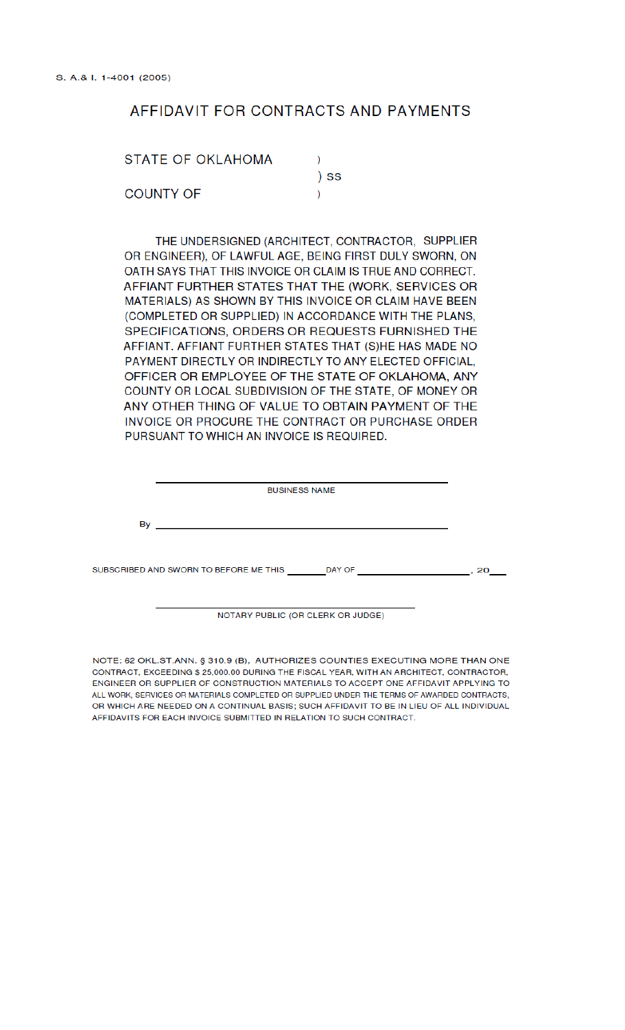## AFFIDAVIT FOR CONTRACTS AND PAYMENTS

| STATE OF OKLAHOMA |      |
|-------------------|------|
|                   | ) SS |
| <b>COUNTY OF</b>  |      |

THE UNDERSIGNED (ARCHITECT, CONTRACTOR, SUPPLIER OR ENGINEER), OF LAWFUL AGE, BEING FIRST DULY SWORN, ON OATH SAYS THAT THIS INVOICE OR CLAIM IS TRUE AND CORRECT. AFFIANT FURTHER STATES THAT THE (WORK, SERVICES OR MATERIALS) AS SHOWN BY THIS INVOICE OR CLAIM HAVE BEEN (COMPLETED OR SUPPLIED) IN ACCORDANCE WITH THE PLANS, SPECIFICATIONS, ORDERS OR REQUESTS FURNISHED THE AFFIANT. AFFIANT FURTHER STATES THAT (S)HE HAS MADE NO PAYMENT DIRECTLY OR INDIRECTLY TO ANY ELECTED OFFICIAL, OFFICER OR EMPLOYEE OF THE STATE OF OKLAHOMA, ANY COUNTY OR LOCAL SUBDIVISION OF THE STATE, OF MONEY OR ANY OTHER THING OF VALUE TO OBTAIN PAYMENT OF THE INVOICE OR PROCURE THE CONTRACT OR PURCHASE ORDER PURSUANT TO WHICH AN INVOICE IS REQUIRED.

| <b>BUSINESS NAME</b> |                                        |  |        |  |    |  |
|----------------------|----------------------------------------|--|--------|--|----|--|
| By                   |                                        |  |        |  |    |  |
|                      |                                        |  |        |  |    |  |
|                      | SUBSCRIBED AND SWORN TO BEFORE ME THIS |  | DAY OF |  | 20 |  |

NOTARY PUBLIC (OR CLERK OR JUDGE)

NOTE: 62 OKL.ST.ANN. § 310.9 (B), AUTHORIZES COUNTIES EXECUTING MORE THAN ONE CONTRACT, EXCEEDING \$ 25,000.00 DURING THE FISCAL YEAR, WITH AN ARCHITECT, CONTRACTOR, ENGINEER OR SUPPLIER OF CONSTRUCTION MATERIALS TO ACCEPT ONE AFFIDAVIT APPLYING TO ALL WORK. SERVICES OR MATERIALS COMPLETED OR SUPPLIED UNDER THE TERMS OF AWARDED CONTRACTS. OR WHICH ARE NEEDED ON A CONTINUAL BASIS; SUCH AFFIDAVIT TO BE IN LIEU OF ALL INDIVIDUAL AFFIDAVITS FOR EACH INVOICE SUBMITTED IN RELATION TO SUCH CONTRACT.